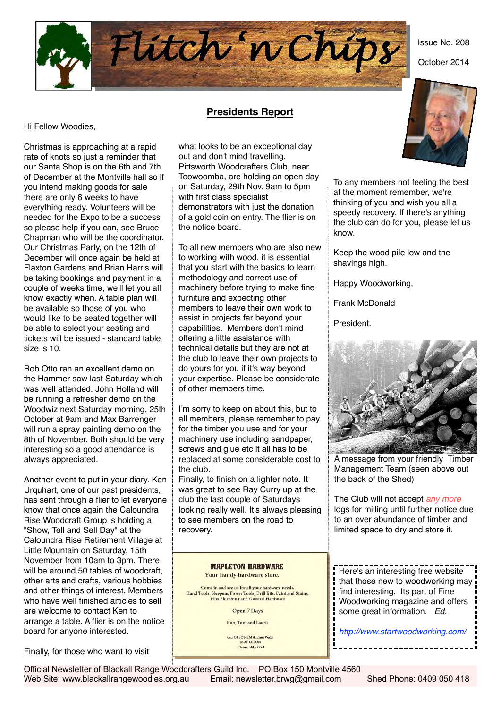Issue No. 208

October 2014



# **Presidents Report**

Hi Fellow Woodies,

Christmas is approaching at a rapid rate of knots so just a reminder that our Santa Shop is on the 6th and 7th of December at the Montville hall so if you intend making goods for sale there are only 6 weeks to have everything ready. Volunteers will be needed for the Expo to be a success so please help if you can, see Bruce Chapman who will be the coordinator. Our Christmas Party, on the 12th of December will once again be held at Flaxton Gardens and Brian Harris will be taking bookings and payment in a couple of weeks time, we'll let you all know exactly when. A table plan will be available so those of you who would like to be seated together will be able to select your seating and tickets will be issued - standard table size is 10.

Rob Otto ran an excellent demo on the Hammer saw last Saturday which was well attended. John Holland will be running a refresher demo on the Woodwiz next Saturday morning, 25th October at 9am and Max Barrenger will run a spray painting demo on the 8th of November. Both should be very interesting so a good attendance is always appreciated.

Another event to put in your diary. Ken Urquhart, one of our past presidents, has sent through a flier to let everyone know that once again the Caloundra Rise Woodcraft Group is holding a "Show, Tell and Sell Day" at the Caloundra Rise Retirement Village at Little Mountain on Saturday, 15th November from 10am to 3pm. There will be around 50 tables of woodcraft. other arts and crafts, various hobbies and other things of interest. Members who have well finished articles to sell are welcome to contact Ken to arrange a table. A flier is on the notice board for anyone interested.

Finally, for those who want to visit

what looks to be an exceptional day out and don't mind travelling, Pittsworth Woodcrafters Club, near Toowoomba, are holding an open day on Saturday, 29th Nov. 9am to 5pm with first class specialist demonstrators with just the donation of a gold coin on entry. The flier is on the notice board.

To all new members who are also new to working with wood, it is essential that you start with the basics to learn methodology and correct use of machinery before trying to make fine furniture and expecting other members to leave their own work to assist in projects far beyond your capabilities. Members don't mind offering a little assistance with technical details but they are not at the club to leave their own projects to do yours for you if it's way beyond your expertise. Please be considerate of other members time.

I'm sorry to keep on about this, but to all members, please remember to pay for the timber you use and for your machinery use including sandpaper, screws and glue etc it all has to be replaced at some considerable cost to the club.

Finally, to finish on a lighter note. It was great to see Ray Curry up at the club the last couple of Saturdays looking really well. It's always pleasing to see members on the road to recovery.

> **MAPLETON HARDWARE** Your handy hardware store.

Come in and see us for all your hardware needs. Hand Tools, Sleepers, Power Tools, Drill Bits, Paint and Stains Plus Plumbing and General Hardware

**Open 7 Days** 

Rob, Toni and Laurie

Cur Obi Obi Rd & Emu Walk **MAPLETON** Phone 5445 7773



To any members not feeling the best at the moment remember, we're thinking of you and wish you all a speedy recovery. If there's anything the club can do for you, please let us know.

Keep the wood pile low and the shavings high.

Happy Woodworking,

Frank McDonald

President.



A message from your friendly Timber Management Team (seen above out the back of the Shed)

The Club will not accept *any more* logs for milling until further notice due to an over abundance of timber and limited space to dry and store it.

 Here's an interesting free website that those new to woodworking may find interesting. Its part of Fine Woodworking magazine and offers some great information. *Ed.*

 *<http://www.startwoodworking.com/>*

Official Newsletter of Blackall Range Woodcrafters Guild Inc. PO Box 150 Montville 4560 Web Site: www.blackallrangewoodies.org.au Email: newsletter.brwg@gmail.com Shed Phone: 0409 050 418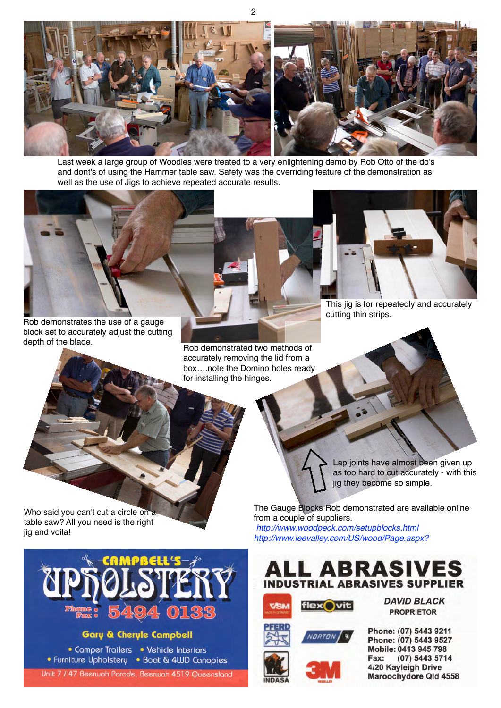

Last week a large group of Woodies were treated to a very enlightening demo by Rob Otto of the do's and dont's of using the Hammer table saw. Safety was the overriding feature of the demonstration as well as the use of Jigs to achieve repeated accurate results.

Rob demonstrates the use of a gauge block set to accurately adjust the cutting depth of the blade.

Rob demonstrated two methods of accurately removing the lid from a box….note the Domino holes ready for installing the hinges.



This jig is for repeatedly and accurately cutting thin strips.

Who said you can't cut a circle on a table saw? All you need is the right jig and voila!



## **Gary & Cheryle Campbell**

• Camper Trailers • Vehicle Interiors • Furniture Upholstery • Boat & 4WD Canopies

Unit 7 / 47 Beerwah Parade, Beerwah 4519 Queensland

Lap joints have almost been given up as too hard to cut accurately - with this jig they become so simple.

The Gauge Blocks Rob demonstrated are available online from a couple of suppliers. *<http://www.woodpeck.com/setupblocks.html> <http://www.leevalley.com/US/wood/Page.aspx?>*









**DAVID BLACK PROPRIETOR** 

Phone: (07) 5443 9211 Phone: (07) 5443 9527 Mobile: 0413 945 798 Fax: (07) 5443 5714 4/20 Kayleigh Drive Maroochydore Qld 4558

2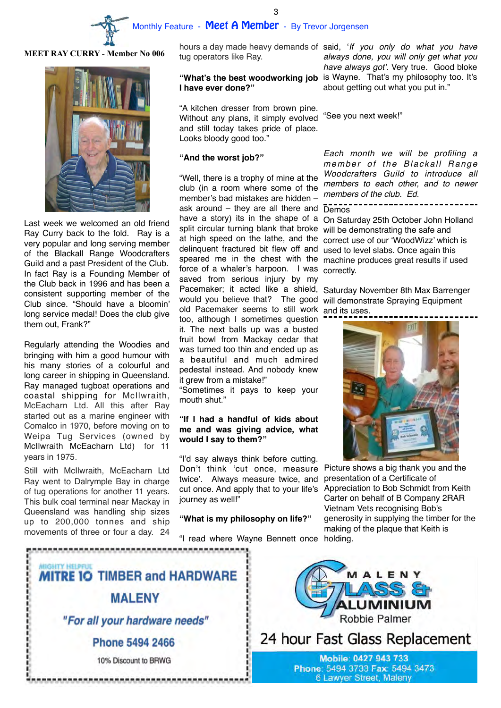

3

#### **MEET RAY CURRY - Member No 006**



Last week we welcomed an old friend Ray Curry back to the fold. Ray is a very popular and long serving member of the Blackall Range Woodcrafters Guild and a past President of the Club. In fact Ray is a Founding Member of the Club back in 1996 and has been a consistent supporting member of the Club since. "Should have a bloomin' long service medal! Does the club give them out, Frank?"

Regularly attending the Woodies and bringing with him a good humour with his many stories of a colourful and long career in shipping in Queensland. Ray managed tugboat operations and coastal shipping for McIlwraith, McEacharn Ltd. All this after Ray started out as a marine engineer with Comalco in 1970, before moving on to Weipa Tug Services (owned by McIlwraith McEacharn Ltd) for 11 years in 1975.

Still with McIlwraith, McEacharn Ltd Ray went to Dalrymple Bay in charge of tug operations for another 11 years. This bulk coal terminal near Mackay in Queensland was handling ship sizes up to 200,000 tonnes and ship movements of three or four a day. 24

tug operators like Ray.

# **I have ever done?"**

"A kitchen dresser from brown pine. Without any plans, it simply evolved and still today takes pride of place. Looks bloody good too."

#### **"And the worst job?"**

"Well, there is a trophy of mine at the club (in a room where some of the member's bad mistakes are hidden – ask around – they are all there and have a story) its in the shape of a split circular turning blank that broke at high speed on the lathe, and the delinquent fractured bit flew off and speared me in the chest with the force of a whaler's harpoon. I was saved from serious injury by my Pacemaker; it acted like a shield, Saturday November 8th Max Barrenger old Pacemaker seems to still work and its uses. too, although I sometimes question it. The next balls up was a busted fruit bowl from Mackay cedar that was turned too thin and ended up as a beautiful and much admired pedestal instead. And nobody knew it grew from a mistake!"

"Sometimes it pays to keep your mouth shut."

## **"If I had a handful of kids about me and was giving advice, what would I say to them?"**

"I'd say always think before cutting. Don't think 'cut once, measure twice'. Always measure twice, and journey as well!"

#### **"What is my philosophy on life?"**

"I read where Wayne Bennett once holding.

hours a day made heavy demands of said, '*If you only do what you have*  "What's the best woodworking job is Wayne. That's my philosophy too. It's *always done, you will only get what you have always got'.* Very true. Good bloke about getting out what you put in."

"See you next week!"

*Each month we will be profiling a member of the Blackall Range Woodcrafters Guild to introduce all members to each other, and to newer members of the club. Ed.*

Demos

On Saturday 25th October John Holland will be demonstrating the safe and correct use of our 'WoodWizz' which is used to level slabs. Once again this machine produces great results if used correctly.

would you believe that? The good will demonstrate Spraying Equipment



cut once. And apply that to your life's Appreciation to Bob Schmidt from Keith Picture shows a big thank you and the presentation of a Certificate of Carter on behalf of B Company 2RAR Vietnam Vets recognising Bob's generosity in supplying the timber for the making of the plaque that Keith is





24 hour Fast Glass Replacement

Mobile: 0427 943 733 Phone: 5494 3733 Fax: 5494 3473 6 Lawyer Street, Maleny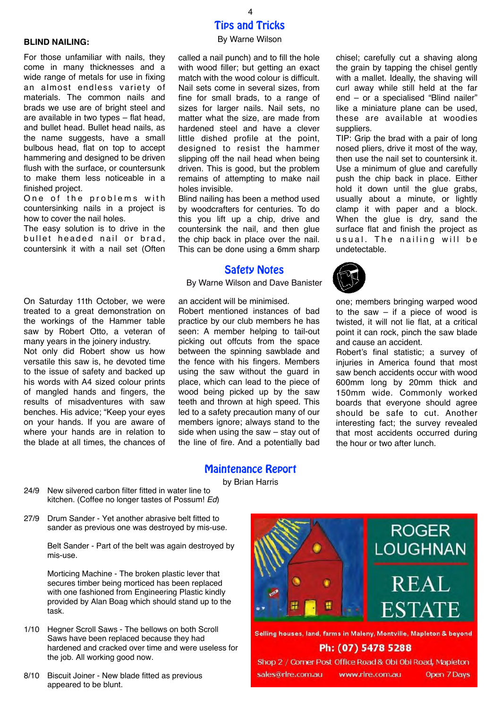## **BLIND NAILING:**

For those unfamiliar with nails, they come in many thicknesses and a wide range of metals for use in fixing an almost endless variety of materials. The common nails and brads we use are of bright steel and are available in two types – flat head, and bullet head. Bullet head nails, as the name suggests, have a small bulbous head, flat on top to accept hammering and designed to be driven flush with the surface, or countersunk to make them less noticeable in a finished project.

One of the problems with countersinking nails in a project is how to cover the nail holes.

The easy solution is to drive in the bullet headed nail or brad, countersink it with a nail set (Often

On Saturday 11th October, we were treated to a great demonstration on the workings of the Hammer table saw by Robert Otto, a veteran of many years in the joinery industry. Not only did Robert show us how versatile this saw is, he devoted time to the issue of safety and backed up his words with A4 sized colour prints of mangled hands and fingers, the results of misadventures with saw benches. His advice; "Keep your eyes on your hands. If you are aware of where your hands are in relation to

the blade at all times, the chances of

# Tips and Tricks 4

#### By Warne Wilson

called a nail punch) and to fill the hole with wood filler; but getting an exact match with the wood colour is difficult. Nail sets come in several sizes, from fine for small brads, to a range of sizes for larger nails. Nail sets. no matter what the size, are made from hardened steel and have a clever little dished profile at the point, designed to resist the hammer slipping off the nail head when being driven. This is good, but the problem remains of attempting to make nail holes invisible.

Blind nailing has been a method used by woodcrafters for centuries. To do this you lift up a chip, drive and countersink the nail, and then glue the chip back in place over the nail. This can be done using a 6mm sharp

## Safety Notes

By Warne Wilson and Dave Banister

an accident will be minimised.

Robert mentioned instances of bad practice by our club members he has seen: A member helping to tail-out picking out offcuts from the space between the spinning sawblade and the fence with his fingers. Members using the saw without the guard in place, which can lead to the piece of wood being picked up by the saw teeth and thrown at high speed. This led to a safety precaution many of our members ignore; always stand to the side when using the saw – stay out of the line of fire. And a potentially bad chisel; carefully cut a shaving along the grain by tapping the chisel gently with a mallet. Ideally, the shaving will curl away while still held at the far end – or a specialised "Blind nailer" like a miniature plane can be used, these are available at woodies suppliers.

TIP: Grip the brad with a pair of long nosed pliers, drive it most of the way, then use the nail set to countersink it. Use a minimum of glue and carefully push the chip back in place. Either hold it down until the glue grabs, usually about a minute, or lightly clamp it with paper and a block. When the glue is dry, sand the surface flat and finish the project as usual. The nailing will be undetectable.

one; members bringing warped wood

to the saw  $-$  if a piece of wood is twisted, it will not lie flat, at a critical point it can rock, pinch the saw blade and cause an accident.

Robert's final statistic; a survey of injuries in America found that most saw bench accidents occur with wood 600mm long by 20mm thick and 150mm wide. Commonly worked boards that everyone should agree should be safe to cut. Another interesting fact; the survey revealed that most accidents occurred during the hour or two after lunch.

## Maintenance Report

by Brian Harris

- 24/9 New silvered carbon filter fitted in water line to kitchen. (Coffee no longer tastes of Possum! *Ed*)
- 27/9 Drum Sander Yet another abrasive belt fitted to sander as previous one was destroyed by mis-use.

Belt Sander - Part of the belt was again destroyed by mis-use.

Morticing Machine - The broken plastic lever that secures timber being morticed has been replaced with one fashioned from Engineering Plastic kindly provided by Alan Boag which should stand up to the task.

- 1/10 Hegner Scroll Saws The bellows on both Scroll Saws have been replaced because they had hardened and cracked over time and were useless for the job. All working good now.
- 8/10 Biscuit Joiner New blade fitted as previous appeared to be blunt.



Selling houses, land, farms in Maleny, Montville, Mapleton & beyond

# Ph: (07) 5478 5288

Shop 2 / Corner Post Office Road & Obi Obi Road, Mapleton sales@rlre.com.au www.rlre.com.au Open 7 Days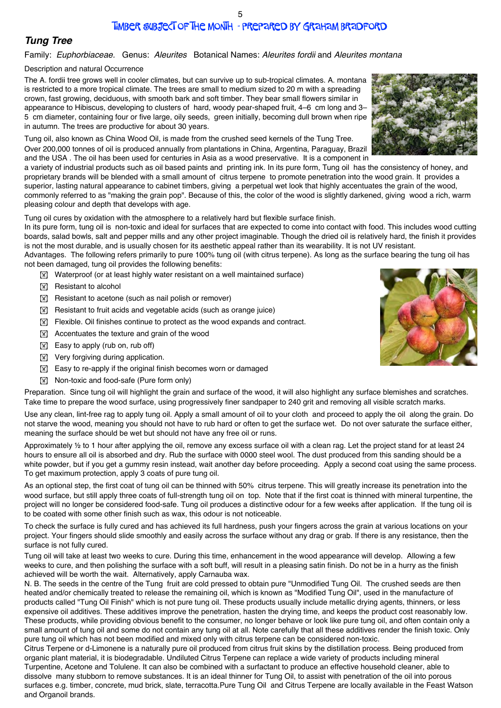# Timber Subject of the Month - prepared by Graham Bradford

# *Tung Tree*

## Family: *Euphorbiaceae.* Genus: *Aleurites* Botanical Names: *Aleurites fordii* and *Aleurites montana*

### Description and natural Occurrence

The A. fordii tree grows well in cooler climates, but can survive up to sub-tropical climates. A. montana is restricted to a more tropical climate. The trees are small to medium sized to 20 m with a spreading crown, fast growing, deciduous, with smooth bark and soft timber. They bear small flowers similar in appearance to Hibiscus, developing to clusters of hard, woody pear-shaped fruit, 4–6 cm long and 3– 5 cm diameter, containing four or five large, oily seeds, green initially, becoming dull brown when ripe in autumn. The trees are productive for about 30 years.

Tung oil, also known as China Wood Oil, is made from the crushed seed kernels of the Tung Tree. Over 200,000 tonnes of oil is produced annually from plantations in China, Argentina, Paraguay, Brazil and the USA . The oil has been used for centuries in Asia as a wood preservative. It is a component in

a variety of industrial products such as oil based paints and printing ink. In its pure form, Tung oil has the consistency of honey, and proprietary brands will be blended with a small amount of citrus terpene to promote penetration into the wood grain. It provides a superior, lasting natural appearance to cabinet timbers, giving a perpetual wet look that highly accentuates the grain of the wood, commonly referred to as "making the grain pop". Because of this, the color of the wood is slightly darkened, giving wood a rich, warm pleasing colour and depth that develops with age.

Tung oil cures by oxidation with the atmosphere to a relatively hard but flexible surface finish.

In its pure form, tung oil is non-toxic and ideal for surfaces that are expected to come into contact with food. This includes wood cutting boards, salad bowls, salt and pepper mills and any other project imaginable. Though the dried oil is relatively hard, the finish it provides is not the most durable, and is usually chosen for its aesthetic appeal rather than its wearability. It is not UV resistant.

Advantages. The following refers primarily to pure 100% tung oil (with citrus terpene). As long as the surface bearing the tung oil has not been damaged, tung oil provides the following benefits:

- $\mathbb{F}$  Waterproof (or at least highly water resistant on a well maintained surface)
- **IN Resistant to alcohol**
- $\boxed{\mathbb{X}}$  Resistant to acetone (such as nail polish or remover)
- $\boxed{\mathbb{X}}$  Resistant to fruit acids and vegetable acids (such as orange juice)
- **IN Flexible. Oil finishes continue to protect as the wood expands and contract.**
- $\boxed{\mathbb{X}}$  Accentuates the texture and grain of the wood
- $\boxed{\mathbb{X}}$  Easy to apply (rub on, rub off)
- $\boxed{\mathbb{X}}$  Very forgiving during application.
- $\boxed{\mathbb{X}}$  Easy to re-apply if the original finish becomes worn or damaged
- **Non-toxic and food-safe (Pure form only)**

Preparation. Since tung oil will highlight the grain and surface of the wood, it will also highlight any surface blemishes and scratches. Take time to prepare the wood surface, using progressively finer sandpaper to 240 grit and removing all visible scratch marks.

Use any clean, lint-free rag to apply tung oil. Apply a small amount of oil to your cloth and proceed to apply the oil along the grain. Do not starve the wood, meaning you should not have to rub hard or often to get the surface wet. Do not over saturate the surface either, meaning the surface should be wet but should not have any free oil or runs.

Approximately ½ to 1 hour after applying the oil, remove any excess surface oil with a clean rag. Let the project stand for at least 24 hours to ensure all oil is absorbed and dry. Rub the surface with 0000 steel wool. The dust produced from this sanding should be a white powder, but if you get a gummy resin instead, wait another day before proceeding. Apply a second coat using the same process. To get maximum protection, apply 3 coats of pure tung oil.

As an optional step, the first coat of tung oil can be thinned with 50% citrus terpene. This will greatly increase its penetration into the wood surface, but still apply three coats of full-strength tung oil on top. Note that if the first coat is thinned with mineral turpentine, the project will no longer be considered food-safe. Tung oil produces a distinctive odour for a few weeks after application. If the tung oil is to be coated with some other finish such as wax, this odour is not noticeable.

To check the surface is fully cured and has achieved its full hardness, push your fingers across the grain at various locations on your project. Your fingers should slide smoothly and easily across the surface without any drag or grab. If there is any resistance, then the surface is not fully cured.

Tung oil will take at least two weeks to cure. During this time, enhancement in the wood appearance will develop. Allowing a few weeks to cure, and then polishing the surface with a soft buff, will result in a pleasing satin finish. Do not be in a hurry as the finish achieved will be worth the wait. Alternatively, apply Carnauba wax.

N. B. The seeds in the centre of the Tung fruit are cold pressed to obtain pure "Unmodified Tung Oil. The crushed seeds are then heated and/or chemically treated to release the remaining oil, which is known as "Modified Tung Oil", used in the manufacture of products called "Tung Oil Finish" which is not pure tung oil. These products usually include metallic drying agents, thinners, or less expensive oil additives. These additives improve the penetration, hasten the drying time, and keeps the product cost reasonably low. These products, while providing obvious benefit to the consumer, no longer behave or look like pure tung oil, and often contain only a small amount of tung oil and some do not contain any tung oil at all. Note carefully that all these additives render the finish toxic. Only pure tung oil which has not been modified and mixed only with citrus terpene can be considered non-toxic.

Citrus Terpene or d-Limonene is a naturally pure oil produced from citrus fruit skins by the distillation process. Being produced from organic plant material, it is biodegradable. Undiluted Citrus Terpene can replace a wide variety of products including mineral Turpentine, Acetone and Tolulene. It can also be combined with a surfactant to produce an effective household cleaner, able to dissolve many stubborn to remove substances. It is an ideal thinner for Tung Oil, to assist with penetration of the oil into porous surfaces e.g. timber, concrete, mud brick, slate, terracotta.Pure Tung Oil and Citrus Terpene are locally available in the Feast Watson and Organoil brands.